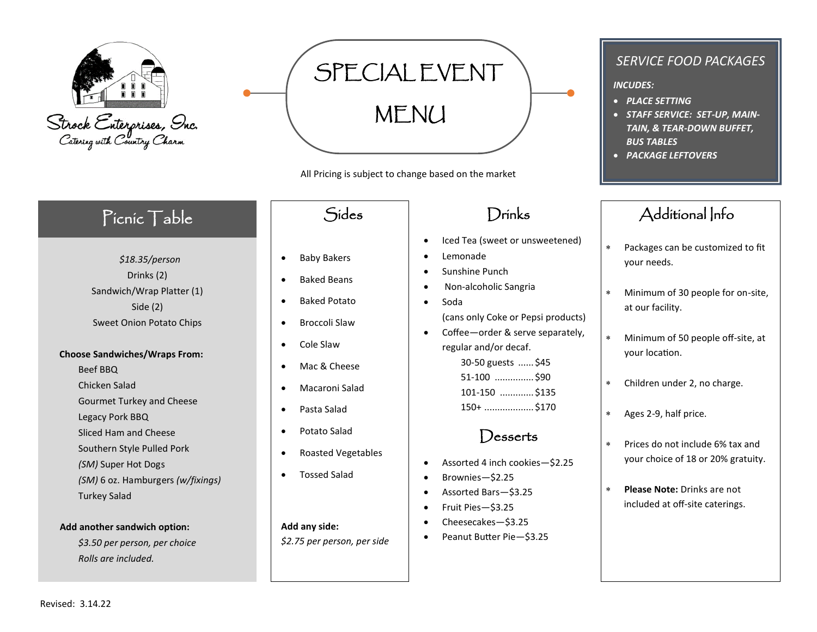

SPECIAL EVENT MENU

All Pricing is subject to change based on the market

# Picnic Table

*\$18.35/person* Drinks (2) Sandwich/Wrap Platter (1) Side (2) Sweet Onion Potato Chips

### **Choose Sandwiches/Wraps From:**

- Beef BBQ
- Chicken Salad
- Gourmet Turkey and Cheese
- Legacy Pork BBQ
- Sliced Ham and Cheese
- Southern Style Pulled Pork
- *(SM)* Super Hot Dogs
- *(SM)* 6 oz. Hamburgers *(w/fixings)*

## Turkey Salad

## **Add another sandwich option:**

*\$3.50 per person, per choice Rolls are included.*

- Baby Bakers
- Baked Beans
- Baked Potato
- Broccoli Slaw
- Cole Slaw
- Mac & Cheese
- Macaroni Salad
- Pasta Salad
- Potato Salad
- Roasted Vegetables
- Tossed Salad

## **Add any side:**

*\$2.75 per person, per side*

# Drinks

- Iced Tea (sweet or unsweetened)
- Lemonade
- Sunshine Punch
- Non-alcoholic Sangria
- Soda (cans only Coke or Pepsi products)
- Coffee—order & serve separately, regular and/or decaf.

-50 guests ...... \$45 -100 ............... \$90 -150 ............. \$135 150+ ................... \$170

# Desserts

- Assorted 4 inch cookies—\$2.25
- Brownies—\$2.25
- Assorted Bars—\$3.25
- Fruit Pies—\$3.25
- Cheesecakes—\$3.25
- Peanut Butter Pie—\$3.25

## *SERVICE FOOD PACKAGES*

## *INCUDES:*

- *PLACE SETTING*
- *STAFF SERVICE: SET-UP, MAIN-TAIN, & TEAR-DOWN BUFFET, BUS TABLES*
- *PACKAGE LEFTOVERS*

# Sides Drinks Additional Info

- Packages can be customized to fit your needs.
- Minimum of 30 people for on-site, at our facility.
- Minimum of 50 people off-site, at your location.
- Children under 2, no charge.
- Ages 2-9, half price.
- Prices do not include 6% tax and your choice of 18 or 20% gratuity.
- **Please Note:** Drinks are not included at off-site caterings.